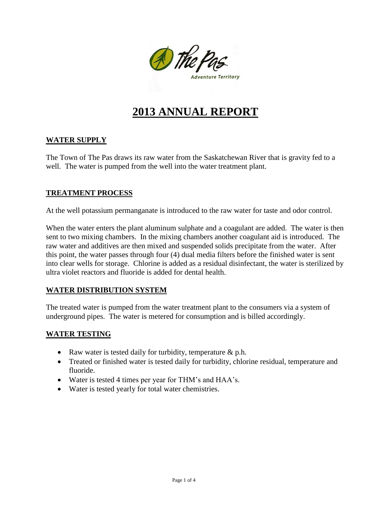

# **2013 ANNUAL REPORT**

## **WATER SUPPLY**

The Town of The Pas draws its raw water from the Saskatchewan River that is gravity fed to a well. The water is pumped from the well into the water treatment plant.

## **TREATMENT PROCESS**

At the well potassium permanganate is introduced to the raw water for taste and odor control.

When the water enters the plant aluminum sulphate and a coagulant are added. The water is then sent to two mixing chambers. In the mixing chambers another coagulant aid is introduced. The raw water and additives are then mixed and suspended solids precipitate from the water. After this point, the water passes through four (4) dual media filters before the finished water is sent into clear wells for storage. Chlorine is added as a residual disinfectant, the water is sterilized by ultra violet reactors and fluoride is added for dental health.

## **WATER DISTRIBUTION SYSTEM**

The treated water is pumped from the water treatment plant to the consumers via a system of underground pipes. The water is metered for consumption and is billed accordingly.

## **WATER TESTING**

- Raw water is tested daily for turbidity, temperature  $\&$  p.h.
- Treated or finished water is tested daily for turbidity, chlorine residual, temperature and fluoride.
- Water is tested 4 times per year for THM's and HAA's.
- Water is tested yearly for total water chemistries.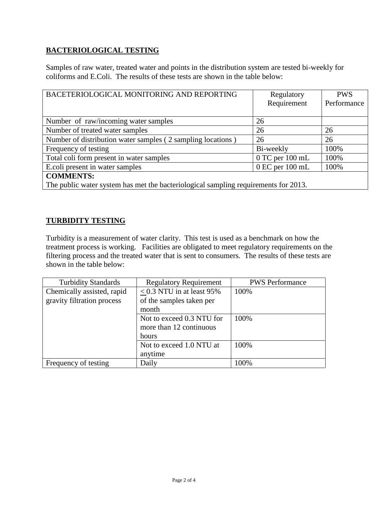# **BACTERIOLOGICAL TESTING**

Samples of raw water, treated water and points in the distribution system are tested bi-weekly for coliforms and E.Coli. The results of these tests are shown in the table below:

| BACETERIOLOGICAL MONITORING AND REPORTING                                           | Regulatory          | <b>PWS</b>  |  |
|-------------------------------------------------------------------------------------|---------------------|-------------|--|
|                                                                                     | Requirement         | Performance |  |
|                                                                                     |                     |             |  |
| Number of raw/incoming water samples                                                | 26                  |             |  |
| Number of treated water samples                                                     | 26                  | 26          |  |
| Number of distribution water samples (2 sampling locations)                         | 26                  | 26          |  |
| Frequency of testing                                                                | Bi-weekly           | 100%        |  |
| Total coli form present in water samples                                            | $0$ TC per $100$ mL | 100%        |  |
| E.coli present in water samples                                                     | $0$ EC per $100$ mL | 100%        |  |
| <b>COMMENTS:</b>                                                                    |                     |             |  |
| The public water system has met the bacteriological sampling requirements for 2013. |                     |             |  |

#### **TURBIDITY TESTING**

Turbidity is a measurement of water clarity. This test is used as a benchmark on how the treatment process is working. Facilities are obligated to meet regulatory requirements on the filtering process and the treated water that is sent to consumers. The results of these tests are shown in the table below:

| <b>Turbidity Standards</b> | <b>Regulatory Requirement</b>  | <b>PWS</b> Performance |
|----------------------------|--------------------------------|------------------------|
| Chemically assisted, rapid | $\leq$ 0.3 NTU in at least 95% | 100%                   |
| gravity filtration process | of the samples taken per       |                        |
|                            | month                          |                        |
|                            | Not to exceed 0.3 NTU for      | 100%                   |
|                            | more than 12 continuous        |                        |
|                            | hours                          |                        |
|                            | Not to exceed 1.0 NTU at       | 100%                   |
|                            | anytime                        |                        |
| Frequency of testing       | Daily                          | 100%                   |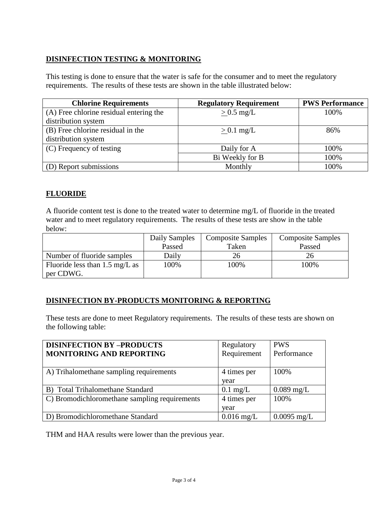# **DISINFECTION TESTING & MONITORING**

This testing is done to ensure that the water is safe for the consumer and to meet the regulatory requirements. The results of these tests are shown in the table illustrated below:

| <b>Chlorine Requirements</b>            | <b>Regulatory Requirement</b> | <b>PWS Performance</b> |
|-----------------------------------------|-------------------------------|------------------------|
| (A) Free chlorine residual entering the | $> 0.5$ mg/L                  | 100%                   |
| distribution system                     |                               |                        |
| (B) Free chlorine residual in the       | $> 0.1$ mg/L                  | 86%                    |
| distribution system                     |                               |                        |
| (C) Frequency of testing                | Daily for A                   | 100%                   |
|                                         | Bi Weekly for B               | 100%                   |
| (D) Report submissions                  | Monthly                       | 100%                   |

# **FLUORIDE**

A fluoride content test is done to the treated water to determine mg/L of fluoride in the treated water and to meet regulatory requirements. The results of these tests are show in the table below:

|                                          | Daily Samples | <b>Composite Samples</b> | <b>Composite Samples</b> |
|------------------------------------------|---------------|--------------------------|--------------------------|
|                                          | Passed        | Taken                    | Passed                   |
| Number of fluoride samples               | Daily         | 26                       | 26                       |
| Fluoride less than $1.5 \text{ mg/L}$ as | 100%          | 100%                     | 100%                     |
| per CDWG.                                |               |                          |                          |

## **DISINFECTION BY-PRODUCTS MONITORING & REPORTING**

These tests are done to meet Regulatory requirements. The results of these tests are shown on the following table:

| <b>DISINFECTION BY -PRODUCTS</b>              | Regulatory         | <b>PWS</b>    |
|-----------------------------------------------|--------------------|---------------|
| <b>MONITORING AND REPORTING</b>               | Requirement        | Performance   |
|                                               |                    |               |
| A) Trihalomethane sampling requirements       | 4 times per        | 100%          |
|                                               | year               |               |
| B) Total Trihalomethane Standard              | $0.1 \text{ mg/L}$ | $0.089$ mg/L  |
| C) Bromodichloromethane sampling requirements | 4 times per        | 100%          |
|                                               | year               |               |
| D) Bromodichloromethane Standard              | $0.016$ mg/L       | $0.0095$ mg/L |

THM and HAA results were lower than the previous year.